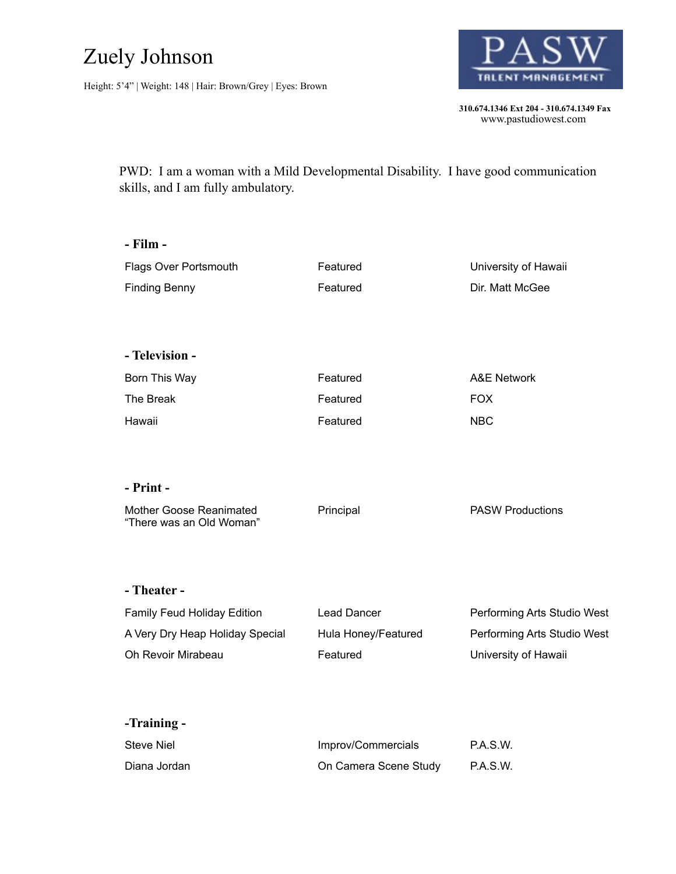## Zuely Johnson

Height: 5'4" | Weight: 148 | Hair: Brown/Grey | Eyes: Brown



 **310.674.1346 Ext 204 - 310.674.1349 Fax**  www.pastudiowest.com

PWD: I am a woman with a Mild Developmental Disability. I have good communication skills, and I am fully ambulatory.

| - Film -                                            |                       |                             |
|-----------------------------------------------------|-----------------------|-----------------------------|
| Flags Over Portsmouth                               | Featured              | University of Hawaii        |
| <b>Finding Benny</b>                                | Featured              | Dir. Matt McGee             |
| - Television -                                      |                       |                             |
| Born This Way                                       | Featured              | <b>A&amp;E Network</b>      |
| The Break                                           | Featured              | <b>FOX</b>                  |
| Hawaii                                              | Featured              | <b>NBC</b>                  |
| - Print -                                           |                       |                             |
| Mother Goose Reanimated<br>"There was an Old Woman" | Principal             | <b>PASW Productions</b>     |
| - Theater -                                         |                       |                             |
| Family Feud Holiday Edition                         | <b>Lead Dancer</b>    | Performing Arts Studio West |
| A Very Dry Heap Holiday Special                     | Hula Honey/Featured   | Performing Arts Studio West |
| Oh Revoir Mirabeau                                  | Featured              | University of Hawaii        |
| -Training -                                         |                       |                             |
| <b>Steve Niel</b>                                   | Improv/Commercials    | P.A.S.W.                    |
| Diana Jordan                                        | On Camera Scene Study | P.A.S.W.                    |